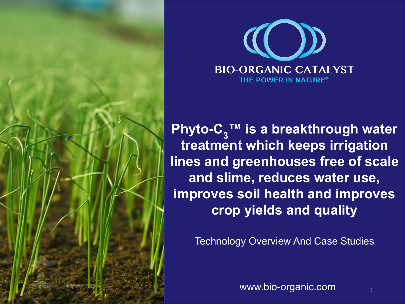



**Phyto-C<sub>3</sub>™ is a breakthrough water treatment which keeps irrigation lines and greenhouses free of scale and slime, reduces water use, improves soil health and improves crop yields and quality**

Technology Overview And Case Studies

www.bio-organic.com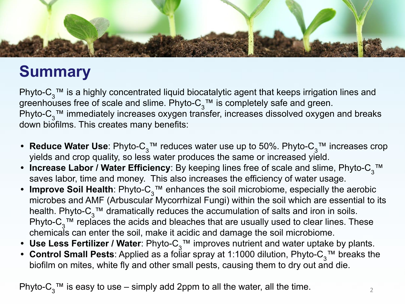

# **Summary**

Phyto-C<sub>3</sub><sup>™</sup> is a highly concentrated liquid biocatalytic agent that keeps irrigation lines and greenhouses free of scale and slime. Phyto- $C_3$ ™ is completely safe and green. Phyto- $C_3$ <sup>™</sup> immediately increases oxygen transfer, increases dissolved oxygen and breaks down biofilms. This creates many benefits:

- **Reduce Water Use**: Phyto-C<sub>3</sub>™ reduces water use up to 50%. Phyto-C<sub>3</sub>™ increases crop yields and crop quality, so less water produces the same or increased yield.
- **Increase Labor / Water Efficiency**: By keeping lines free of scale and slime, Phyto-C<sub>3</sub>™ saves labor, time and money. This also increases the efficiency of water usage.
- **Improve Soil Health**: Phyto-C<sub>3</sub>™ enhances the soil microbiome, especially the aerobic microbes and AMF (Arbuscular Mycorrhizal Fungi) within the soil which are essential to its health. Phyto-C<sub>3</sub><sup>™</sup> dramatically reduces the accumulation of salts and iron in soils. Phyto-C<sub>3</sub>™ replaces the acids and bleaches that are usually used to clear lines. These chemicals can enter the soil, make it acidic and damage the soil microbiome.
- Use Less Fertilizer / Water: Phyto-C<sub>3</sub>™ improves nutrient and water uptake by plants.
- **Control Small Pests**: Applied as a foliar spray at 1:1000 dilution, Phyto-C<sub>3</sub>™ breaks the biofilm on mites, white fly and other small pests, causing them to dry out and die.

Phyto-C<sub>3</sub><sup>™</sup> is easy to use – simply add 2ppm to all the water, all the time.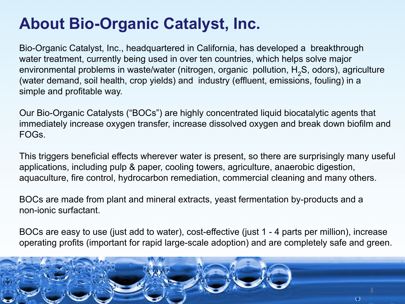# **About Bio-Organic Catalyst, Inc.**

Bio-Organic Catalyst, Inc., headquartered in California, has developed a breakthrough water treatment, currently being used in over ten countries, which helps solve major environmental problems in waste/water (nitrogen, organic pollution, H<sub>2</sub>S, odors), agriculture (water demand, soil health, crop yields) and industry (effluent, emissions, fouling) in a simple and profitable way.

Our Bio-Organic Catalysts ("BOCs") are highly concentrated liquid biocatalytic agents that immediately increase oxygen transfer, increase dissolved oxygen and break down biofilm and FOGs.

This triggers beneficial effects wherever water is present, so there are surprisingly many useful applications, including pulp & paper, cooling towers, agriculture, anaerobic digestion, aquaculture, fire control, hydrocarbon remediation, commercial cleaning and many others.

BOCs are made from plant and mineral extracts, yeast fermentation by-products and a non-ionic surfactant.

BOCs are easy to use (just add to water), cost-effective (just 1 - 4 parts per million), increase operating profits (important for rapid large-scale adoption) and are completely safe and green.

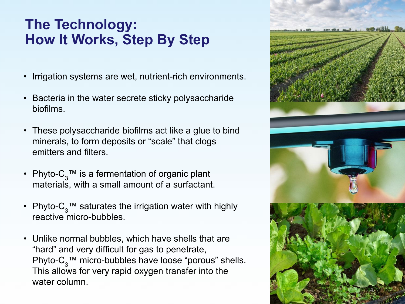### **The Technology: How It Works, Step By Step**

- Irrigation systems are wet, nutrient-rich environments.
- Bacteria in the water secrete sticky polysaccharide biofilms.
- These polysaccharide biofilms act like a glue to bind minerals, to form deposits or "scale" that clogs emitters and filters.
- Phyto- $C_3$ <sup>™</sup> is a fermentation of organic plant materials, with a small amount of a surfactant.
- Phyto- $C_3$ <sup>™</sup> saturates the irrigation water with highly reactive micro-bubbles.
- Unlike normal bubbles, which have shells that are "hard" and very difficult for gas to penetrate, Phyto- $C_3$ <sup>™</sup> micro-bubbles have loose "porous" shells. This allows for very rapid oxygen transfer into the water column.

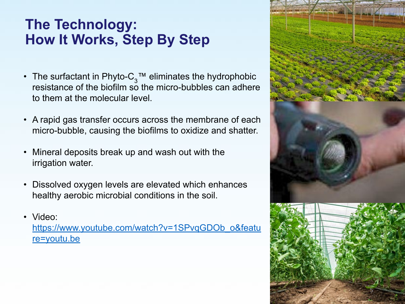### **The Technology: How It Works, Step By Step**

- The surfactant in Phyto- $C_3^{\pi}$  eliminates the hydrophobic resistance of the biofilm so the micro-bubbles can adhere to them at the molecular level.
- A rapid gas transfer occurs across the membrane of each micro-bubble, causing the biofilms to oxidize and shatter.
- Mineral deposits break up and wash out with the irrigation water.
- Dissolved oxygen levels are elevated which enhances healthy aerobic microbial conditions in the soil.
- Video:

[https://www.youtube.com/watch?v=1SPvqGDOb\\_o&featu](https://www.youtube.com/watch?v=1SPvqGDOb_o&feature=youtu.be) [re=youtu.be](https://www.youtube.com/watch?v=1SPvqGDOb_o&feature=youtu.be)

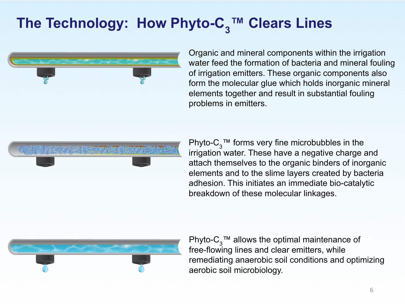# The Technology: How Phyto-C<sub>3</sub>™ Clears Lines



Organic and mineral components within the irrigation water feed the formation of bacteria and mineral fouling of irrigation emitters. These organic components also form the molecular glue which holds inorganic mineral elements together and result in substantial fouling problems in emitters.

Phyto- $C_3$ <sup>™</sup> forms very fine microbubbles in the irrigation water. These have a negative charge and attach themselves to the organic binders of inorganic elements and to the slime layers created by bacteria adhesion. This initiates an immediate bio-catalytic breakdown of these molecular linkages.



Phyto-C<sub>3</sub>™ allows the optimal maintenance of free-flowing lines and clear emitters, while remediating anaerobic soil conditions and optimizing aerobic soil microbiology.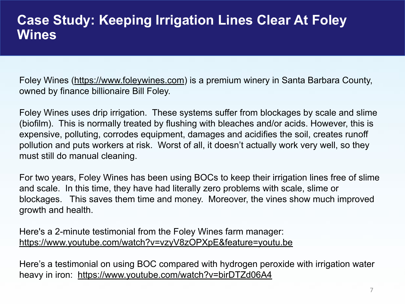#### **Case Study: Keeping Irrigation Lines Clear At Foley Wines**

Foley Wines ([https://www.foleywines.com\)](https://www.foleywines.com/) is a premium winery in Santa Barbara County, owned by finance billionaire Bill Foley.

Foley Wines uses drip irrigation. These systems suffer from blockages by scale and slime (biofilm). This is normally treated by flushing with bleaches and/or acids. However, this is expensive, polluting, corrodes equipment, damages and acidifies the soil, creates runoff pollution and puts workers at risk. Worst of all, it doesn't actually work very well, so they must still do manual cleaning.

For two years, Foley Wines has been using BOCs to keep their irrigation lines free of slime and scale. In this time, they have had literally zero problems with scale, slime or blockages. This saves them time and money. Moreover, the vines show much improved growth and health.

Here's a 2-minute testimonial from the Foley Wines farm manager: <https://www.youtube.com/watch?v=vzyV8zOPXpE&feature=youtu.be>

Here's a testimonial on using BOC compared with hydrogen peroxide with irrigation water heavy in iron: <https://www.youtube.com/watch?v=birDTZd06A4>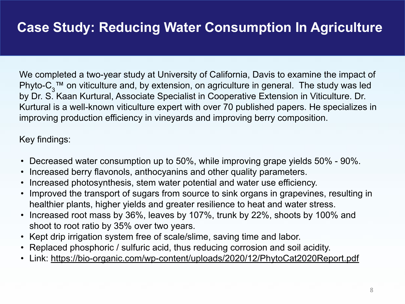We completed a two-year study at University of California, Davis to examine the impact of Phyto-C<sub>3</sub>™ on viticulture and, by extension, on agriculture in general. The study was led by Dr. S. Kaan Kurtural, Associate Specialist in Cooperative Extension in Viticulture. Dr. Kurtural is a well-known viticulture expert with over 70 published papers. He specializes in improving production efficiency in vineyards and improving berry composition.

#### Key findings:

- Decreased water consumption up to 50%, while improving grape yields 50% 90%.
- Increased berry flavonols, anthocyanins and other quality parameters.
- Increased photosynthesis, stem water potential and water use efficiency.
- Improved the transport of sugars from source to sink organs in grapevines, resulting in healthier plants, higher yields and greater resilience to heat and water stress.
- Increased root mass by 36%, leaves by 107%, trunk by 22%, shoots by 100% and shoot to root ratio by 35% over two years.
- Kept drip irrigation system free of scale/slime, saving time and labor.
- Replaced phosphoric / sulfuric acid, thus reducing corrosion and soil acidity.
- Link:<https://bio-organic.com/wp-content/uploads/2020/12/PhytoCat2020Report.pdf>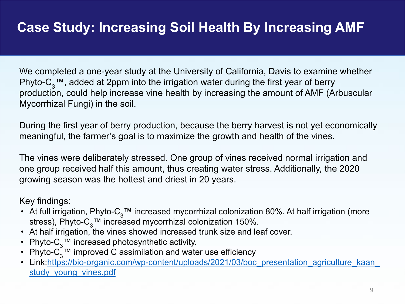## **Case Study: Increasing Soil Health By Increasing AMF**

We completed a one-year study at the University of California, Davis to examine whether Phyto-C<sub>3</sub>™, added at 2ppm into the irrigation water during the first year of berry production, could help increase vine health by increasing the amount of AMF (Arbuscular Mycorrhizal Fungi) in the soil.

During the first year of berry production, because the berry harvest is not yet economically meaningful, the farmer's goal is to maximize the growth and health of the vines.

The vines were deliberately stressed. One group of vines received normal irrigation and one group received half this amount, thus creating water stress. Additionally, the 2020 growing season was the hottest and driest in 20 years.

Key findings:

- At full irrigation, Phyto-C<sub>3</sub>™ increased mycorrhizal colonization 80%. At half irrigation (more stress), Phyto- $C_2$ <sup>™</sup> increased mycorrhizal colonization 150%.
- At half irrigation, the vines showed increased trunk size and leaf cover.
- Phyto- $C_3^{\text{TM}}$  increased photosynthetic activity.
- Phyto- $C_3^T$ <sup>M</sup> improved C assimilation and water use efficiency
- Link: https://bio-organic.com/wp-content/uploads/2021/03/boc\_presentation\_agriculture\_kaan study young vines.pdf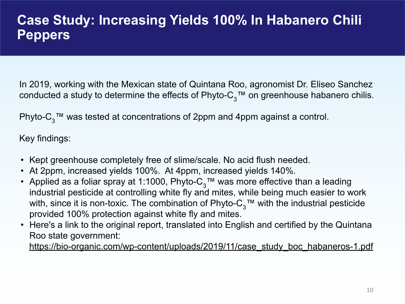In 2019, working with the Mexican state of Quintana Roo, agronomist Dr. Eliseo Sanchez conducted a study to determine the effects of Phyto- $C_3$ <sup>TM</sup> on greenhouse habanero chilis.

Phyto-C<sub>3</sub>™ was tested at concentrations of 2ppm and 4ppm against a control.

Key findings:

- Kept greenhouse completely free of slime/scale. No acid flush needed.
- At 2ppm, increased yields 100%. At 4ppm, increased yields 140%.
- Applied as a foliar spray at 1:1000, Phyto- $C_3$ <sup>TM</sup> was more effective than a leading industrial pesticide at controlling white fly and mites, while being much easier to work with, since it is non-toxic. The combination of Phyto- $C_3^m$  with the industrial pesticide provided 100% protection against white fly and mites.
- Here's a link to the original report, translated into English and certified by the Quintana Roo state government:

[https://bio-organic.com/wp-content/uploads/2019/11/case\\_study\\_boc\\_habaneros-1.pdf](https://bio-organic.com/wp-content/uploads/2019/11/case_study_boc_habaneros-1.pdf)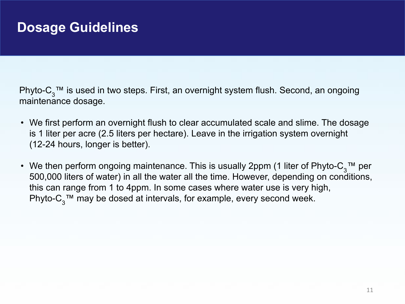Phyto-C<sub>3</sub>™ is used in two steps. First, an overnight system flush. Second, an ongoing maintenance dosage.

- We first perform an overnight flush to clear accumulated scale and slime. The dosage is 1 liter per acre (2.5 liters per hectare). Leave in the irrigation system overnight (12-24 hours, longer is better).
- We then perform ongoing maintenance. This is usually 2ppm (1 liter of Phyto-C<sub>3</sub>™ per 500,000 liters of water) in all the water all the time. However, depending on conditions, this can range from 1 to 4ppm. In some cases where water use is very high, Phyto- $C_3$ <sup>™</sup> may be dosed at intervals, for example, every second week.